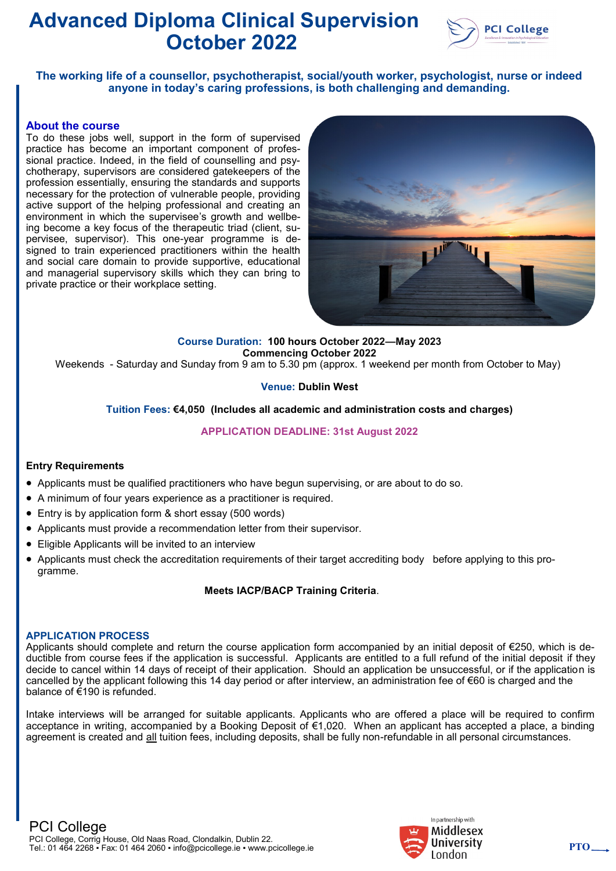

**The working life of a counsellor, psychotherapist, social/youth worker, psychologist, nurse or indeed anyone in today's caring professions, is both challenging and demanding.**

#### **About the course**

To do these jobs well, support in the form of supervised practice has become an important component of professional practice. Indeed, in the field of counselling and psychotherapy, supervisors are considered gatekeepers of the profession essentially, ensuring the standards and supports necessary for the protection of vulnerable people, providing active support of the helping professional and creating an environment in which the supervisee's growth and wellbeing become a key focus of the therapeutic triad (client, supervisee, supervisor). This one-year programme is designed to train experienced practitioners within the health and social care domain to provide supportive, educational and managerial supervisory skills which they can bring to private practice or their workplace setting.



#### **Course Duration: 100 hours October 2022—May 2023 Commencing October 2022**

Weekends - Saturday and Sunday from 9 am to 5.30 pm (approx. 1 weekend per month from October to May)

### **Venue: Dublin West**

#### **Tuition Fees: €4,050 (Includes all academic and administration costs and charges)**

### **APPLICATION DEADLINE: 31st August 2022**

#### **Entry Requirements**

- Applicants must be qualified practitioners who have begun supervising, or are about to do so.
- A minimum of four years experience as a practitioner is required.
- Entry is by application form & short essay (500 words)
- Applicants must provide a recommendation letter from their supervisor.
- Eligible Applicants will be invited to an interview
- Applicants must check the accreditation requirements of their target accrediting body before applying to this programme.

### **Meets IACP/BACP Training Criteria**.

#### **APPLICATION PROCESS**

Applicants should complete and return the course application form accompanied by an initial deposit of €250, which is deductible from course fees if the application is successful. Applicants are entitled to a full refund of the initial deposit if they decide to cancel within 14 days of receipt of their application. Should an application be unsuccessful, or if the application is cancelled by the applicant following this 14 day period or after interview, an administration fee of €60 is charged and the balance of €190 is refunded.

Intake interviews will be arranged for suitable applicants. Applicants who are offered a place will be required to confirm acceptance in writing, accompanied by a Booking Deposit of €1,020. When an applicant has accepted a place, a binding agreement is created and all tuition fees, including deposits, shall be fully non-refundable in all personal circumstances.

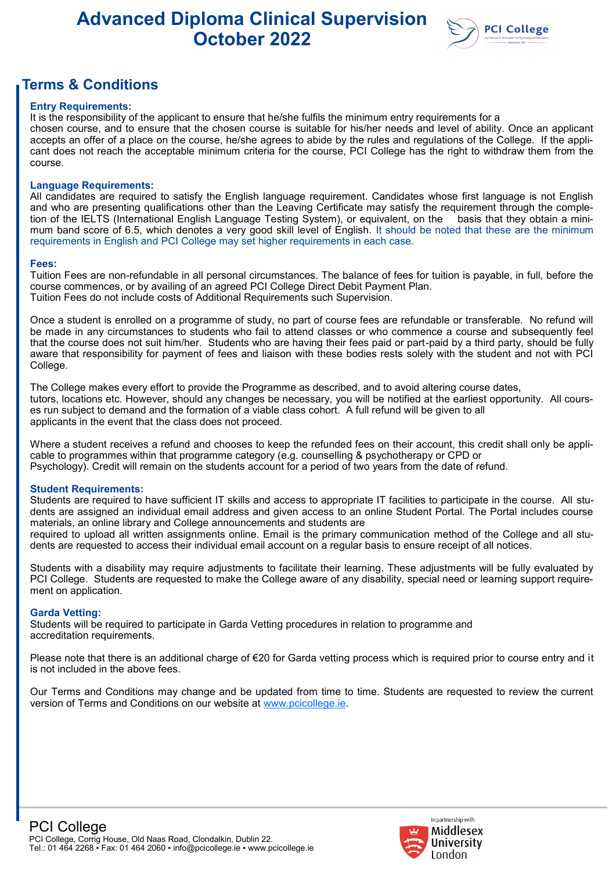

## **Terms & Conditions**

#### **Entry Requirements:**

It is the responsibility of the applicant to ensure that he/she fulfils the minimum entry requirements for a chosen course, and to ensure that the chosen course is suitable for his/her needs and level of ability. Once an applicant accepts an offer of a place on the course, he/she agrees to abide by the rules and regulations of the College. If the applicant does not reach the acceptable minimum criteria for the course, PCI College has the right to withdraw them from the course.

#### **Language Requirements:**

All candidates are required to satisfy the English language requirement. Candidates whose first language is not English and who are presenting qualifications other than the Leaving Certificate may satisfy the requirement through the completion of the IELTS (International English Language Testing System), or equivalent, on the basis that they obtain a minimum band score of 6.5, which denotes a very good skill level of English. It should be noted that these are the minimum requirements in English and PCI College may set higher requirements in each case.

#### **Fees:**

Tuition Fees are non-refundable in all personal circumstances. The balance of fees for tuition is payable, in full, before the course commences, or by availing of an agreed PCI College Direct Debit Payment Plan. Tuition Fees do not include costs of Additional Requirements such Supervision.

Once a student is enrolled on a programme of study, no part of course fees are refundable or transferable. No refund will be made in any circumstances to students who fail to attend classes or who commence a course and subsequently feel that the course does not suit him/her. Students who are having their fees paid or part-paid by a third party, should be fully aware that responsibility for payment of fees and liaison with these bodies rests solely with the student and not with PCI College.

The College makes every effort to provide the Programme as described, and to avoid altering course dates, tutors, locations etc. However, should any changes be necessary, you will be notified at the earliest opportunity. All courses run subject to demand and the formation of a viable class cohort. A full refund will be given to all applicants in the event that the class does not proceed.

Where a student receives a refund and chooses to keep the refunded fees on their account, this credit shall only be applicable to programmes within that programme category (e.g. counselling & psychotherapy or CPD or Psychology). Credit will remain on the students account for a period of two years from the date of refund.

#### **Student Requirements:**

Students are required to have sufficient IT skills and access to appropriate IT facilities to participate in the course. All students are assigned an individual email address and given access to an online Student Portal. The Portal includes course materials, an online library and College announcements and students are

required to upload all written assignments online. Email is the primary communication method of the College and all students are requested to access their individual email account on a regular basis to ensure receipt of all notices.

Students with a disability may require adjustments to facilitate their learning. These adjustments will be fully evaluated by PCI College. Students are requested to make the College aware of any disability, special need or learning support requirement on application.

#### **Garda Vetting:**

Students will be required to participate in Garda Vetting procedures in relation to programme and accreditation requirements.

Please note that there is an additional charge of €20 for Garda vetting process which is required prior to course entry and it is not included in the above fees.

Our Terms and Conditions may change and be updated from time to time. Students are requested to review the current version of Terms and Conditions on our website at [www.pcicollege.ie.](http://www.pcicollege.ie)

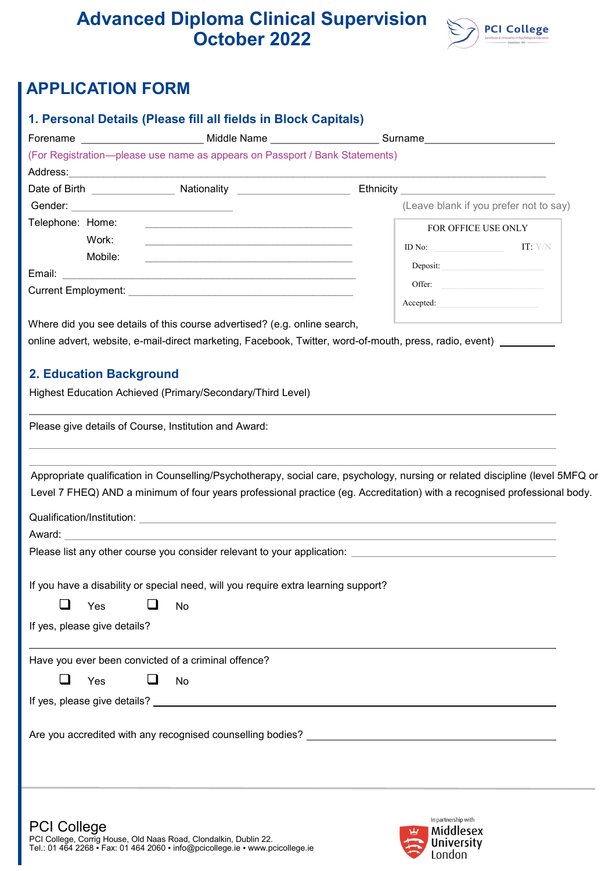

# **APPLICATION FORM**

| 1. Personal Details (Please fill all fields in Block Capitals)                                                                                                                                                                                    |                                                                                                                                                                                                     |  |  |  |  |
|---------------------------------------------------------------------------------------------------------------------------------------------------------------------------------------------------------------------------------------------------|-----------------------------------------------------------------------------------------------------------------------------------------------------------------------------------------------------|--|--|--|--|
|                                                                                                                                                                                                                                                   | Forename _____________________________Middle Name ______________________Surname_______________________________                                                                                      |  |  |  |  |
| (For Registration--please use name as appears on Passport / Bank Statements)                                                                                                                                                                      |                                                                                                                                                                                                     |  |  |  |  |
|                                                                                                                                                                                                                                                   |                                                                                                                                                                                                     |  |  |  |  |
|                                                                                                                                                                                                                                                   | Date of Birth ______________________Nationality __________________________Ethnicity ________________                                                                                                |  |  |  |  |
|                                                                                                                                                                                                                                                   | (Leave blank if you prefer not to say)                                                                                                                                                              |  |  |  |  |
| Telephone: Home:                                                                                                                                                                                                                                  | FOR OFFICE USE ONLY                                                                                                                                                                                 |  |  |  |  |
| Work:<br>the control of the control of the control of the control of the control of the control of the control of the control of the control of the control of the control of the control of the control of the control of the control<br>Mobile: | ID No:<br>IT: Y/N                                                                                                                                                                                   |  |  |  |  |
| the control of the control of the control of the control of the control of the control of the control of the control of the control of the control of the control of the control of the control of the control of the control                     | Deposit:                                                                                                                                                                                            |  |  |  |  |
| Current Employment: Note that the contract of the contract of the contract of the contract of the contract of                                                                                                                                     | Offer:                                                                                                                                                                                              |  |  |  |  |
|                                                                                                                                                                                                                                                   | Accepted:                                                                                                                                                                                           |  |  |  |  |
| Where did you see details of this course advertised? (e.g. online search,                                                                                                                                                                         |                                                                                                                                                                                                     |  |  |  |  |
|                                                                                                                                                                                                                                                   | online advert, website, e-mail-direct marketing, Facebook, Twitter, word-of-mouth, press, radio, event)                                                                                             |  |  |  |  |
|                                                                                                                                                                                                                                                   |                                                                                                                                                                                                     |  |  |  |  |
| <b>2. Education Background</b>                                                                                                                                                                                                                    |                                                                                                                                                                                                     |  |  |  |  |
| Highest Education Achieved (Primary/Secondary/Third Level)                                                                                                                                                                                        |                                                                                                                                                                                                     |  |  |  |  |
|                                                                                                                                                                                                                                                   |                                                                                                                                                                                                     |  |  |  |  |
| Please give details of Course, Institution and Award:                                                                                                                                                                                             |                                                                                                                                                                                                     |  |  |  |  |
|                                                                                                                                                                                                                                                   |                                                                                                                                                                                                     |  |  |  |  |
| Award: 2008 2009 2009 2009 2009 2010 2021 2032 2040 2051 2052 2053 2054 2055 2056 2057 2058 2059 205                                                                                                                                              | Level 7 FHEQ) AND a minimum of four years professional practice (eg. Accreditation) with a recognised professional body.<br>Please list any other course you consider relevant to your application: |  |  |  |  |
| If you have a disability or special need, will you require extra learning support?                                                                                                                                                                |                                                                                                                                                                                                     |  |  |  |  |
| ⊔<br>- 1<br>Yes<br>No                                                                                                                                                                                                                             |                                                                                                                                                                                                     |  |  |  |  |
|                                                                                                                                                                                                                                                   |                                                                                                                                                                                                     |  |  |  |  |
| If yes, please give details?                                                                                                                                                                                                                      |                                                                                                                                                                                                     |  |  |  |  |
| Have you ever been convicted of a criminal offence?                                                                                                                                                                                               |                                                                                                                                                                                                     |  |  |  |  |
| Yes<br>ப<br>No                                                                                                                                                                                                                                    |                                                                                                                                                                                                     |  |  |  |  |
|                                                                                                                                                                                                                                                   |                                                                                                                                                                                                     |  |  |  |  |
|                                                                                                                                                                                                                                                   |                                                                                                                                                                                                     |  |  |  |  |
|                                                                                                                                                                                                                                                   |                                                                                                                                                                                                     |  |  |  |  |
|                                                                                                                                                                                                                                                   |                                                                                                                                                                                                     |  |  |  |  |
|                                                                                                                                                                                                                                                   |                                                                                                                                                                                                     |  |  |  |  |
|                                                                                                                                                                                                                                                   |                                                                                                                                                                                                     |  |  |  |  |
|                                                                                                                                                                                                                                                   |                                                                                                                                                                                                     |  |  |  |  |
|                                                                                                                                                                                                                                                   | In partnership with                                                                                                                                                                                 |  |  |  |  |
| <b>PCI College</b>                                                                                                                                                                                                                                | $\mathbf{u}$ Middlesex                                                                                                                                                                              |  |  |  |  |